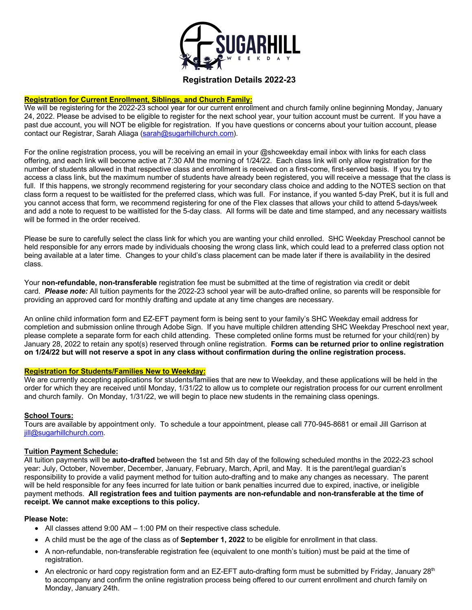

# **Registration Details 2022-23**

#### **Registration for Current Enrollment, Siblings, and Church Family:**

We will be registering for the 2022-23 school year for our current enrollment and church family online beginning Monday, January 24, 2022. Please be advised to be eligible to register for the next school year, your tuition account must be current. If you have a past due account, you will NOT be eligible for registration. If you have questions or concerns about your tuition account, please contact our Registrar, Sarah Aliaga (sarah@sugarhillchurch.com).

For the online registration process, you will be receiving an email in your @shcweekday email inbox with links for each class offering, and each link will become active at 7:30 AM the morning of 1/24/22. Each class link will only allow registration for the number of students allowed in that respective class and enrollment is received on a first-come, first-served basis. If you try to access a class link, but the maximum number of students have already been registered, you will receive a message that the class is full. If this happens, we strongly recommend registering for your secondary class choice and adding to the NOTES section on that class form a request to be waitlisted for the preferred class, which was full. For instance, if you wanted 5-day PreK, but it is full and you cannot access that form, we recommend registering for one of the Flex classes that allows your child to attend 5-days/week and add a note to request to be waitlisted for the 5-day class. All forms will be date and time stamped, and any necessary waitlists will be formed in the order received.

Please be sure to carefully select the class link for which you are wanting your child enrolled. SHC Weekday Preschool cannot be held responsible for any errors made by individuals choosing the wrong class link, which could lead to a preferred class option not being available at a later time. Changes to your child's class placement can be made later if there is availability in the desired class.

Your **non-refundable, non-transferable** registration fee must be submitted at the time of registration via credit or debit card. *Please note:* All tuition payments for the 2022-23 school year will be auto-drafted online, so parents will be responsible for providing an approved card for monthly drafting and update at any time changes are necessary.

An online child information form and EZ-EFT payment form is being sent to your family's SHC Weekday email address for completion and submission online through Adobe Sign. If you have multiple children attending SHC Weekday Preschool next year, please complete a separate form for each child attending. These completed online forms must be returned for your child(ren) by January 28, 2022 to retain any spot(s) reserved through online registration. **Forms can be returned prior to online registration on 1/24/22 but will not reserve a spot in any class without confirmation during the online registration process.**

#### **Registration for Students/Families New to Weekday:**

We are currently accepting applications for students/families that are new to Weekday, and these applications will be held in the order for which they are received until Monday, 1/31/22 to allow us to complete our registration process for our current enrollment and church family. On Monday, 1/31/22, we will begin to place new students in the remaining class openings.

# **School Tours:**

Tours are available by appointment only. To schedule a tour appointment, please call 770-945-8681 or email Jill Garrison at jill@sugarhillchurch.com.

# **Tuition Payment Schedule:**

All tuition payments will be **auto-drafted** between the 1st and 5th day of the following scheduled months in the 2022-23 school year: July, October, November, December, January, February, March, April, and May. It is the parent/legal guardian's responsibility to provide a valid payment method for tuition auto-drafting and to make any changes as necessary. The parent will be held responsible for any fees incurred for late tuition or bank penalties incurred due to expired, inactive, or ineligible payment methods. **All registration fees and tuition payments are non-refundable and non-transferable at the time of receipt. We cannot make exceptions to this policy.**

#### **Please Note:**

- All classes attend 9:00 AM 1:00 PM on their respective class schedule.
- A child must be the age of the class as of **September 1, 2022** to be eligible for enrollment in that class.
- A non-refundable, non-transferable registration fee (equivalent to one month's tuition) must be paid at the time of registration.
- An electronic or hard copy registration form and an EZ-EFT auto-drafting form must be submitted by Friday, January  $28<sup>th</sup>$ to accompany and confirm the online registration process being offered to our current enrollment and church family on Monday, January 24th.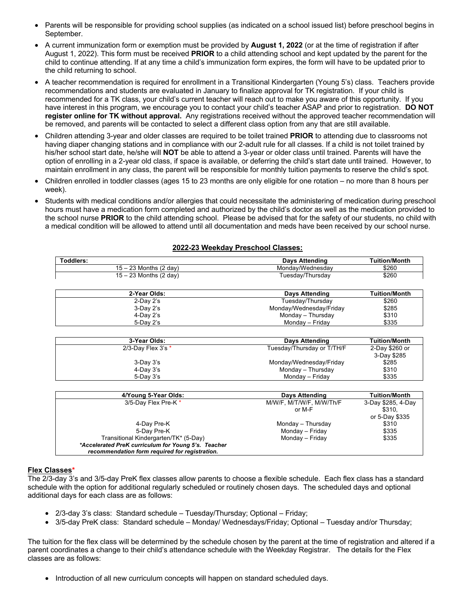- Parents will be responsible for providing school supplies (as indicated on a school issued list) before preschool begins in September.
- A current immunization form or exemption must be provided by **August 1, 2022** (or at the time of registration if after August 1, 2022). This form must be received **PRIOR** to a child attending school and kept updated by the parent for the child to continue attending. If at any time a child's immunization form expires, the form will have to be updated prior to the child returning to school.
- A teacher recommendation is required for enrollment in a Transitional Kindergarten (Young 5's) class. Teachers provide recommendations and students are evaluated in January to finalize approval for TK registration. If your child is recommended for a TK class, your child's current teacher will reach out to make you aware of this opportunity. If you have interest in this program, we encourage you to contact your child's teacher ASAP and prior to registration. **DO NOT register online for TK without approval.** Any registrations received without the approved teacher recommendation will be removed, and parents will be contacted to select a different class option from any that are still available.
- Children attending 3-year and older classes are required to be toilet trained **PRIOR** to attending due to classrooms not having diaper changing stations and in compliance with our 2-adult rule for all classes. If a child is not toilet trained by his/her school start date, he/she will **NOT** be able to attend a 3-year or older class until trained. Parents will have the option of enrolling in a 2-year old class, if space is available, or deferring the child's start date until trained. However, to maintain enrollment in any class, the parent will be responsible for monthly tuition payments to reserve the child's spot.
- Children enrolled in toddler classes (ages 15 to 23 months are only eligible for one rotation no more than 8 hours per week).
- Students with medical conditions and/or allergies that could necessitate the administering of medication during preschool hours must have a medication form completed and authorized by the child's doctor as well as the medication provided to the school nurse **PRIOR** to the child attending school. Please be advised that for the safety of our students, no child with a medical condition will be allowed to attend until all documentation and meds have been received by our school nurse.

|  | 2022-23 Weekday Preschool Classes: |  |
|--|------------------------------------|--|
|  |                                    |  |

| Days Attending   | <b>Tuition/Month</b> |
|------------------|----------------------|
| Mondav/Wednesdav | \$260                |
| Tuesdav/Thursdav | \$260                |
|                  |                      |

| 2-Year Olds:    | <b>Days Attending</b>   | <b>Tuition/Month</b> |
|-----------------|-------------------------|----------------------|
| $2$ -Day $2$ 's | Tuesday/Thursday        | \$260                |
| 3-Day 2's       | Monday/Wednesday/Friday | \$285                |
| 4-Day 2's       | Monday - Thursday       | \$310                |
| 5-Dav 2's       | Monday – Friday         | \$335                |

| 3-Year Olds:         | Days Attending             | <b>Tuition/Month</b> |
|----------------------|----------------------------|----------------------|
| 2/3-Day Flex 3's $*$ | Tuesday/Thursday or T/TH/F | 2-Day \$260 or       |
|                      |                            | 3-Day \$285          |
| $3-Dav3's$           | Monday/Wednesday/Friday    | \$285                |
| $4$ -Day $3$ 's      | Monday - Thursday          | \$310                |
| $5$ -Dav $3$ 's      | Mondav – Fridav            | \$335                |

| 4/Young 5-Year Olds:                                                                                                                           | <b>Days Attending</b>              | <b>Tuition/Month</b>         |
|------------------------------------------------------------------------------------------------------------------------------------------------|------------------------------------|------------------------------|
| 3/5-Day Flex Pre-K*                                                                                                                            | M/W/F, M/T/W/F, M/W/Th/F<br>or M-F | 3-Day \$285, 4-Day<br>\$310. |
| 4-Day Pre-K                                                                                                                                    | Monday - Thursday                  | or 5-Day \$335<br>\$310      |
| 5-Day Pre-K                                                                                                                                    | Monday - Friday                    | \$335                        |
| Transitional Kindergarten/TK* (5-Day)<br>*Accelerated PreK curriculum for Young 5's. Teacher<br>recommendation form required for registration. | Monday - Friday                    | \$335                        |

# **Flex Classes\***

The 2/3-day 3's and 3/5-day PreK flex classes allow parents to choose a flexible schedule. Each flex class has a standard schedule with the option for additional regularly scheduled or routinely chosen days. The scheduled days and optional additional days for each class are as follows:

- 2/3-day 3's class: Standard schedule Tuesday/Thursday; Optional Friday;
- 3/5-day PreK class: Standard schedule Monday/ Wednesdays/Friday; Optional Tuesday and/or Thursday;

The tuition for the flex class will be determined by the schedule chosen by the parent at the time of registration and altered if a parent coordinates a change to their child's attendance schedule with the Weekday Registrar. The details for the Flex classes are as follows:

• Introduction of all new curriculum concepts will happen on standard scheduled days.